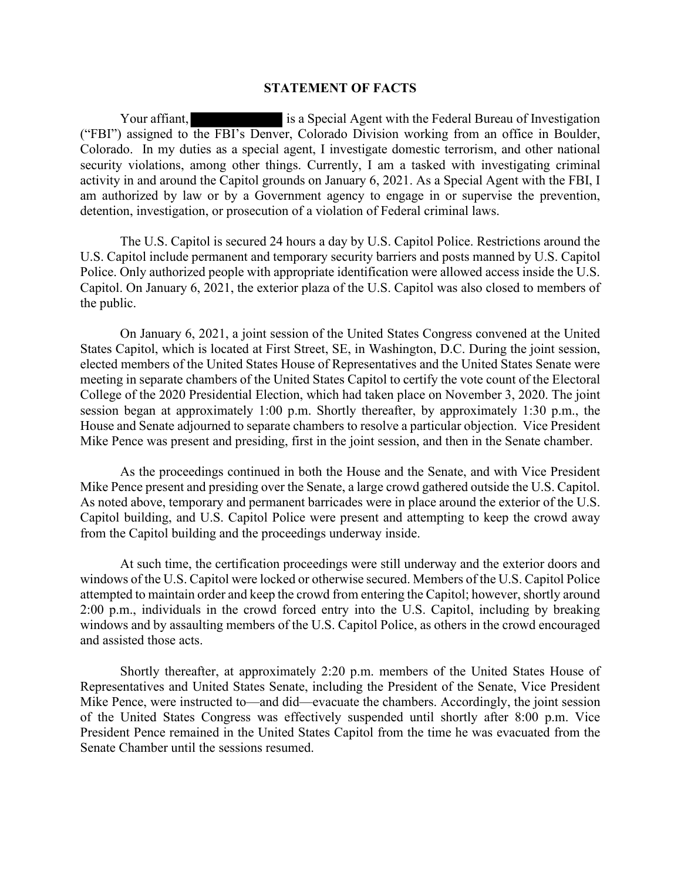## STATEMENT OF FACTS

Your affiant, is a Special Agent with the Federal Bureau of Investigation **STATEMENT OF FACTS**<br>
Your affiant,<br>
is a Special Agent with the Federal Bureau of Investigation<br>
("FBI") assigned to the FBI's Denver, Colorado Division working from an office in Boulder,<br>
Colorado. In my duties as a spec Colorado. In my duties as a special agent, I investigate domestic terrorism, and other national security violations, among other things. Currently, I am a tasked with investigating criminal activity in and around the Capitol grounds on January 6, 2021. As a Special Agent with the FBI, I am authorized by law or by a Government agency to engage in or supervise the prevention, detention, investigation, or prosecution of a violation of Federal criminal laws.

The U.S. Capitol is secured 24 hours a day by U.S. Capitol Police. Restrictions around the U.S. Capitol include permanent and temporary security barriers and posts manned by U.S. Capitol Police. Only authorized people with appropriate identification were allowed access inside the U.S. Capitol. On January 6, 2021, the exterior plaza of the U.S. Capitol was also closed to members of the public.

On January 6, 2021, a joint session of the United States Congress convened at the United States Capitol, which is located at First Street, SE, in Washington, D.C. During the joint session, elected members of the United States House of Representatives and the United States Senate were meeting in separate chambers of the United States Capitol to certify the vote count of the Electoral College of the 2020 Presidential Election, which had taken place on November 3, 2020. The joint session began at approximately 1:00 p.m. Shortly thereafter, by approximately 1:30 p.m., the House and Senate adjourned to separate chambers to resolve a particular objection. Vice President Mike Pence was present and presiding, first in the joint session, and then in the Senate chamber. Musical Continue of the Discretistics continued in the Senate, is the prevention, m, investigation, or prosecution of a violation of Federal criminal laws.<br>The U.S. Capitol is secured 24 hours a day by U.S. Capitol Police.

Mike Pence present and presiding over the Senate, a large crowd gathered outside the U.S. Capitol. As noted above, temporary and permanent barricades were in place around the exterior of the U.S. Capitol building, and U.S. Capitol Police were present and attempting to keep the crowd away from the Capitol building and the proceedings underway inside.

At such time, the certification proceedings were still underway and the exterior doors and windows of the U.S. Capitol were locked or otherwise secured. Members of the U.S. Capitol Police attempted to maintain order and keep the crowd from entering the Capitol; however, shortly around 2:00 p.m., individuals in the crowd forced entry into the U.S. Capitol, including by breaking windows and by assaulting members of the U.S. Capitol Police, as others in the crowd encouraged and assisted those acts.

Shortly thereafter, at approximately 2:20 p.m. members of the United States House of Representatives and United States Senate, including the President of the Senate, Vice President Mike Pence, were instructed to—and did—evacuate the chambers. Accordingly, the joint session of the United States Congress was effectively suspended until shortly after 8:00 p.m. Vice President Pence remained in the United States Capitol from the time he was evacuated from the Senate Chamber until the sessions resumed.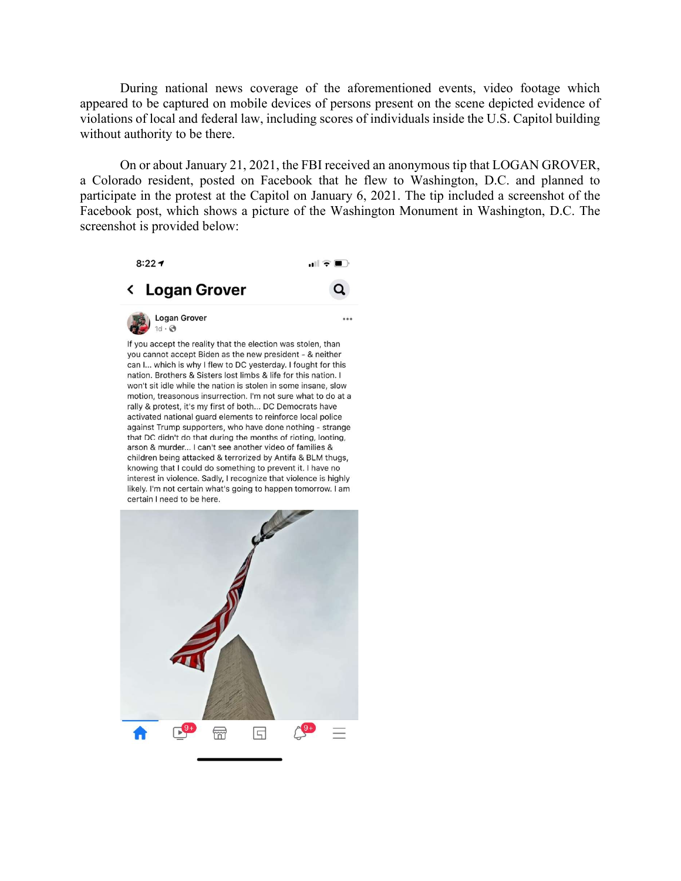During national news coverage of the aforementioned events, video footage which appeared to be captured on mobile devices of persons present on the scene depicted evidence of violations of local and federal law, including scores of individuals inside the U.S. Capitol building without authority to be there.

On or about January 21, 2021, the FBI received an anonymous tip that LOGAN GROVER, a Colorado resident, posted on Facebook that he flew to Washington, D.C. and planned to participate in the protest at the Capitol on January 6, 2021. The tip included a screenshot of the Facebook post, which shows a picture of the Washington Monument in Washington, D.C. The screenshot is provided below:



If you accept the reality that the election was stolen, than you cannot accept Biden as the new president - & neither can I... which is why I flew to DC yesterday. I fought for this nation. Brothers & Sisters lost limbs & life for this nation. I won't sit idle while the nation is stolen in some insane, slow motion, treasonous insurrection. I'm not sure what to do at a rally & protest, it's my first of both... DC Democrats have activated national guard elements to reinforce local police against Trump supporters, who have done nothing - strange that DC didn't do that during the months of rioting, looting, arson & murder... I can't see another video of families & children being attacked & terrorized by Antifa & BLM thugs, knowing that I could do something to prevent it. I have no interest in violence. Sadly, I recognize that violence is highly likely. I'm not certain what's going to happen tomorrow. I am certain I need to be here.

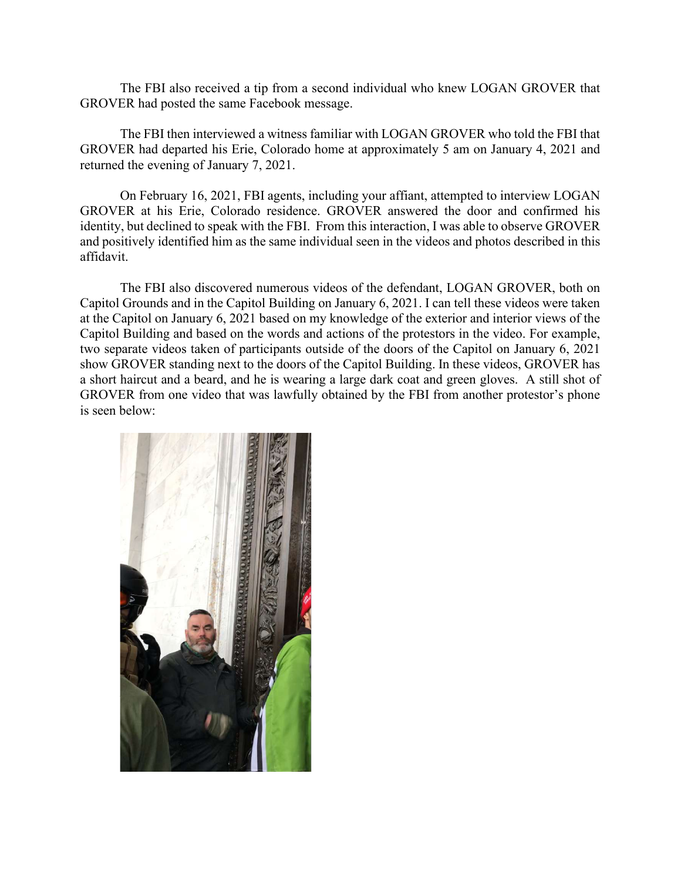The FBI also received a tip from a second individual who knew LOGAN GROVER that GROVER had posted the same Facebook message.

The FBI then interviewed a witness familiar with LOGAN GROVER who told the FBI that GROVER had departed his Erie, Colorado home at approximately 5 am on January 4, 2021 and returned the evening of January 7, 2021.

On February 16, 2021, FBI agents, including your affiant, attempted to interview LOGAN GROVER at his Erie, Colorado residence. GROVER answered the door and confirmed his identity, but declined to speak with the FBI. From this interaction, I was able to observe GROVER and positively identified him as the same individual seen in the videos and photos described in this affidavit.

The FBI also discovered numerous videos of the defendant, LOGAN GROVER, both on Capitol Grounds and in the Capitol Building on January 6, 2021. I can tell these videos were taken at the Capitol on January 6, 2021 based on my knowledge of the exterior and interior views of the Capitol Building and based on the words and actions of the protestors in the video. For example, two separate videos taken of participants outside of the doors of the Capitol on January 6, 2021 show GROVER standing next to the doors of the Capitol Building. In these videos, GROVER has a short haircut and a beard, and he is wearing a large dark coat and green gloves. A still shot of GROVER from one video that was lawfully obtained by the FBI from another protestor's phone The FBI then interviewed a witness familiar with LOGAN GROVER who to<br>GROVER had departed his Erie, Colorado home at approximately 5 am on Januar<br>returned the evening of January 7, 2021.<br>On February 16, 2021, FBI agents, in

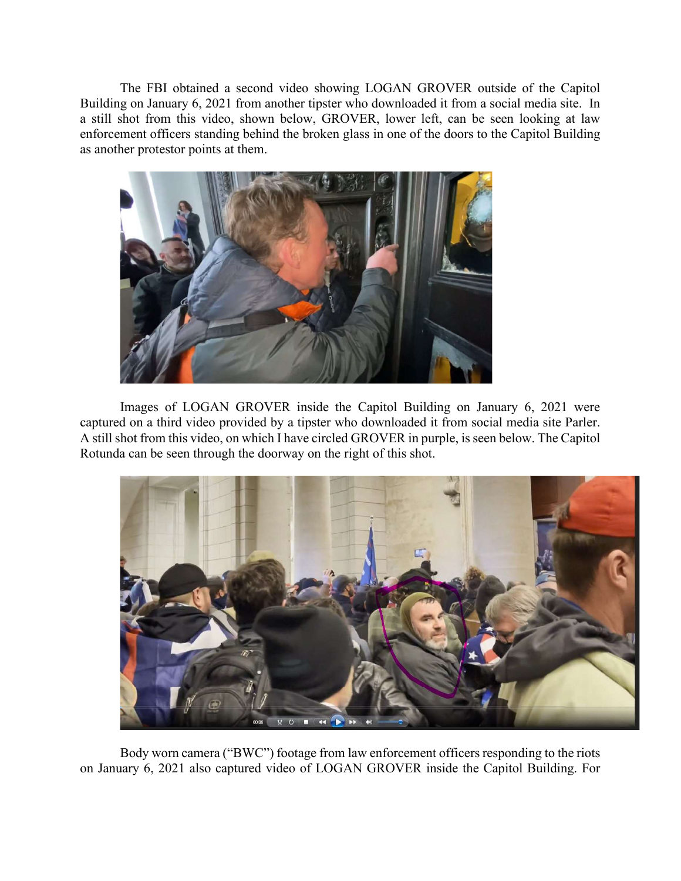The FBI obtained a second video showing LOGAN GROVER outside of the Capitol Building on January 6, 2021 from another tipster who downloaded it from a social media site. In a still shot from this video, shown below, GROVER, lower left, can be seen looking at law enforcement officers standing behind the broken glass in one of the doors to the Capitol Building as another protestor points at them.



Images of LOGAN GROVER inside the Capitol Building on January 6, 2021 were captured on a third video provided by a tipster who downloaded it from social media site Parler. A still shot from this video, on which I have circled GROVER in purple, is seen below. The Capitol Rotunda can be seen through the doorway on the right of this shot.



Body worn camera ("BWC") footage from law enforcement officers responding to the riots on January 6, 2021 also captured video of LOGAN GROVER inside the Capitol Building. For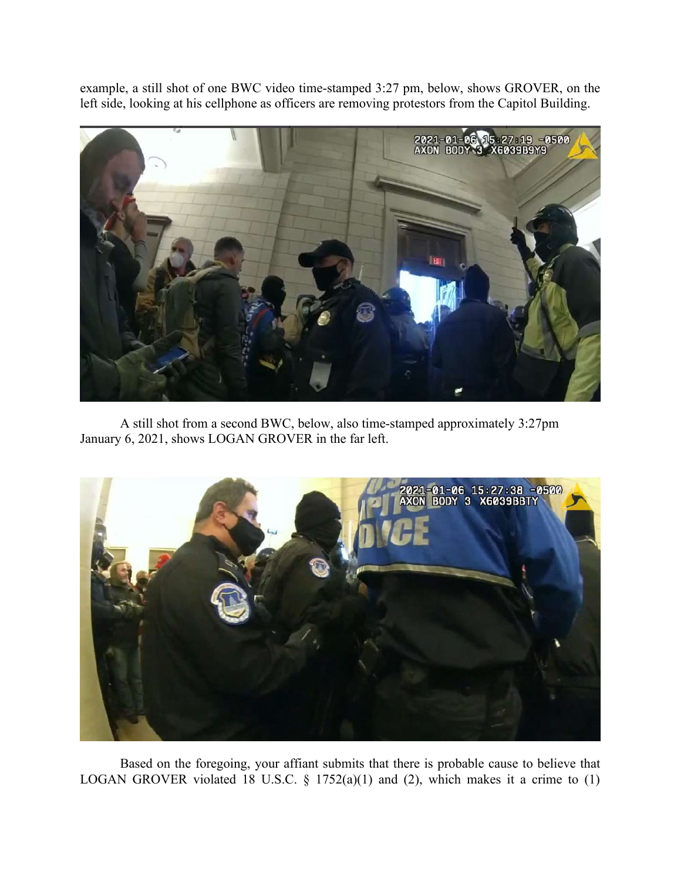left side, looking at his cellphone as officers are removing protestors from the Capitol Building.



A still shot from a second BWC, below, also time-stamped approximately 3:27pm January 6, 2021, shows LOGAN GROVER in the far left.



Based on the foregoing, your affiant submits that there is probable cause to believe that LOGAN GROVER violated 18 U.S.C.  $\S$  1752(a)(1) and (2), which makes it a crime to (1)